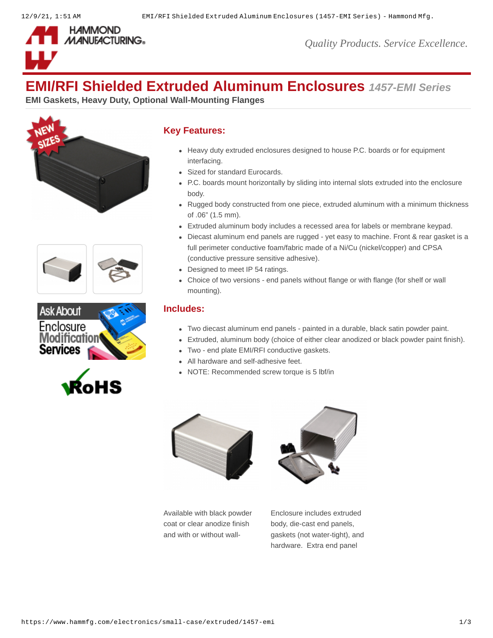

# **EMI/RFI Shielded Extruded Aluminum Enclosures** *1457-EMI Series*

**EMI Gaskets, Heavy Duty, Optional Wall-Mounting Flanges**









### **Key Features:**

- Heavy duty extruded enclosures designed to house P.C. boards or for equipment interfacing.
- Sized for standard Eurocards.
- P.C. boards mount horizontally by sliding into internal slots extruded into the enclosure body.
- Rugged body constructed from one piece, extruded aluminum with a minimum thickness of .06" (1.5 mm).
- Extruded aluminum body includes a recessed area for labels or membrane keypad.
- Diecast aluminum end panels are rugged yet easy to machine. Front & rear gasket is a full perimeter conductive foam/fabric made of a Ni/Cu (nickel/copper) and CPSA (conductive pressure sensitive adhesive).
- Designed to meet IP 54 ratings.
- Choice of two versions end panels without flange or with flange (for shelf or wall mounting).

#### **Includes:**

- Two diecast aluminum end panels painted in a durable, black satin powder paint.
- Extruded, aluminum body (choice of either clear anodized or black powder paint finish).
- Two end plate EMI/RFI conductive gaskets.
- All hardware and self-adhesive feet.
- NOTE: Recommended screw torque is 5 lbf/in





Available with black powder coat or clear anodize finish and with or without wall-

Enclosure includes extruded body, die-cast end panels, gaskets (not water-tight), and hardware. Extra end panel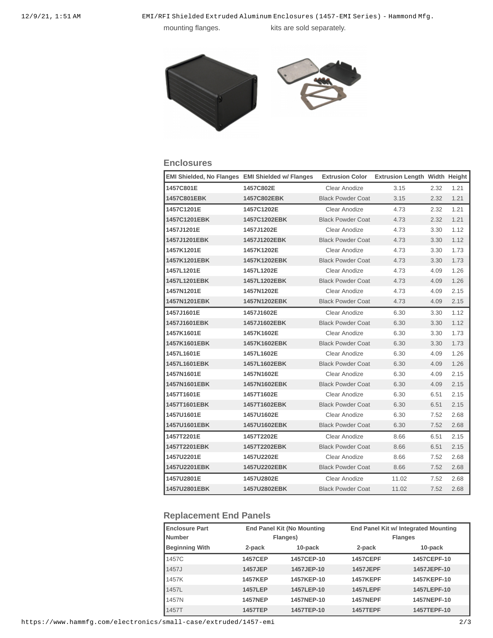12/9/21, 1:51 AM EMI/RFI Shielded Extruded Aluminum Enclosures (1457-EMI Series) - Hammond Mfg.

mounting flanges. kits are sold separately.



#### **Enclosures**

| EMI Shielded, No Flanges EMI Shielded w/ Flanges |              | <b>Extrusion Color</b>   | <b>Extrusion Length Width Height</b> |      |      |
|--------------------------------------------------|--------------|--------------------------|--------------------------------------|------|------|
| 1457C801E                                        | 1457C802E    | Clear Anodize            | 3.15                                 | 2.32 | 1.21 |
| 1457C801EBK                                      | 1457C802EBK  | <b>Black Powder Coat</b> | 3.15                                 | 2.32 | 1.21 |
| 1457C1201E                                       | 1457C1202E   | Clear Anodize            | 4.73                                 | 2.32 | 1.21 |
| 1457C1201EBK                                     | 1457C1202EBK | <b>Black Powder Coat</b> | 4.73                                 | 2.32 | 1.21 |
| 1457J1201E                                       | 1457J1202E   | Clear Anodize            | 4.73                                 | 3.30 | 1.12 |
| 1457J1201EBK                                     | 1457J1202EBK | <b>Black Powder Coat</b> | 4.73                                 | 3.30 | 1.12 |
| 1457K1201E                                       | 1457K1202E   | Clear Anodize            | 4.73                                 | 3.30 | 1.73 |
| 1457K1201EBK                                     | 1457K1202EBK | <b>Black Powder Coat</b> | 4.73                                 | 3.30 | 1.73 |
| 1457L1201E                                       | 1457L1202E   | Clear Anodize            | 4.73                                 | 4.09 | 1.26 |
| 1457L1201EBK                                     | 1457L1202EBK | <b>Black Powder Coat</b> | 4.73                                 | 4.09 | 1.26 |
| 1457N1201E                                       | 1457N1202E   | Clear Anodize            | 4.73                                 | 4.09 | 2.15 |
| 1457N1201EBK                                     | 1457N1202EBK | <b>Black Powder Coat</b> | 4.73                                 | 4.09 | 2.15 |
| 1457J1601E                                       | 1457J1602E   | Clear Anodize            | 6.30                                 | 3.30 | 1.12 |
| 1457J1601EBK                                     | 1457J1602EBK | <b>Black Powder Coat</b> | 6.30                                 | 3.30 | 1.12 |
| 1457K1601E                                       | 1457K1602E   | Clear Anodize            | 6.30                                 | 3.30 | 1.73 |
| 1457K1601EBK                                     | 1457K1602EBK | <b>Black Powder Coat</b> | 6.30                                 | 3.30 | 1.73 |
| 1457L1601E                                       | 1457L1602E   | Clear Anodize            | 6.30                                 | 4.09 | 1.26 |
| 1457L1601EBK                                     | 1457L1602EBK | <b>Black Powder Coat</b> | 6.30                                 | 4.09 | 1.26 |
| 1457N1601E                                       | 1457N1602E   | Clear Anodize            | 6.30                                 | 4.09 | 2.15 |
| 1457N1601EBK                                     | 1457N1602EBK | <b>Black Powder Coat</b> | 6.30                                 | 4.09 | 2.15 |
| 1457T1601E                                       | 1457T1602E   | Clear Anodize            | 6.30                                 | 6.51 | 2.15 |
| 1457T1601EBK                                     | 1457T1602EBK | <b>Black Powder Coat</b> | 6.30                                 | 6.51 | 2.15 |
| 1457U1601E                                       | 1457U1602E   | Clear Anodize            | 6.30                                 | 7.52 | 2.68 |
| 1457U1601EBK                                     | 1457U1602EBK | <b>Black Powder Coat</b> | 6.30                                 | 7.52 | 2.68 |
| 1457T2201E                                       | 1457T2202E   | Clear Anodize            | 8.66                                 | 6.51 | 2.15 |
| 1457T2201EBK                                     | 1457T2202EBK | <b>Black Powder Coat</b> | 8.66                                 | 6.51 | 2.15 |
| 1457U2201E                                       | 1457U2202E   | Clear Anodize            | 8.66                                 | 7.52 | 2.68 |
| 1457U2201EBK                                     | 1457U2202EBK | <b>Black Powder Coat</b> | 8.66                                 | 7.52 | 2.68 |
| 1457U2801E                                       | 1457U2802E   | Clear Anodize            | 11.02                                | 7.52 | 2.68 |
| 1457U2801EBK                                     | 1457U2802EBK | <b>Black Powder Coat</b> | 11.02                                | 7.52 | 2.68 |

## **Replacement End Panels**

| <b>Enclosure Part</b><br>l Number | <b>End Panel Kit (No Mounting</b><br>Flanges) |            |                 | End Panel Kit w/ Integrated Mounting<br><b>Flanges</b> |  |  |
|-----------------------------------|-----------------------------------------------|------------|-----------------|--------------------------------------------------------|--|--|
| <b>Beginning With</b>             | 2-pack                                        | 10-pack    | 2-pack          | 10-pack                                                |  |  |
| 1457C                             | <b>1457CEP</b>                                | 1457CEP-10 | <b>1457CEPF</b> | 1457CEPF-10                                            |  |  |
| <b>1457J</b>                      | 1457JEP                                       | 1457JEP-10 | 1457JEPF        | 1457JEPF-10                                            |  |  |
| 1457K                             | <b>1457KEP</b>                                | 1457KEP-10 | <b>1457KEPF</b> | 1457KEPF-10                                            |  |  |
| 1457L                             | <b>1457LEP</b>                                | 1457LEP-10 | <b>1457LEPF</b> | 1457LEPF-10                                            |  |  |
| 1457N                             | <b>1457NEP</b>                                | 1457NEP-10 | <b>1457NEPF</b> | 1457NEPF-10                                            |  |  |
| 1457T                             | <b>1457TEP</b>                                | 1457TEP-10 | <b>1457TEPF</b> | 1457TEPF-10                                            |  |  |